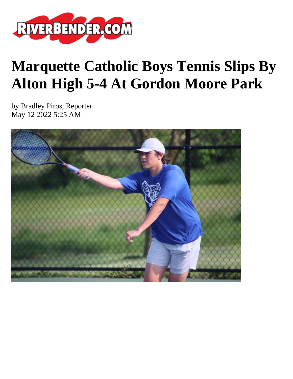

## **Marquette Catholic Boys Tennis Slips By Alton High 5-4 At Gordon Moore Park**

by Bradley Piros, Reporter May 12 2022 5:25 AM

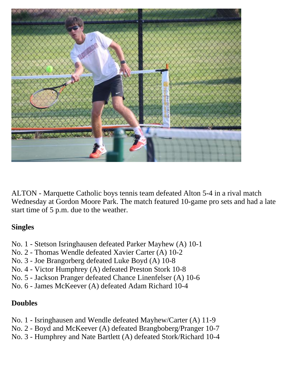

ALTON - Marquette Catholic boys tennis team defeated Alton 5-4 in a rival match Wednesday at Gordon Moore Park. The match featured 10-game pro sets and had a late start time of 5 p.m. due to the weather.

## **Singles**

- No. 1 Stetson Isringhausen defeated Parker Mayhew (A) 10-1
- No. 2 Thomas Wendle defeated Xavier Carter (A) 10-2
- No. 3 Joe Brangorberg defeated Luke Boyd (A) 10-8
- No. 4 Victor Humphrey (A) defeated Preston Stork 10-8
- No. 5 Jackson Pranger defeated Chance Linenfelser (A) 10-6
- No. 6 James McKeever (A) defeated Adam Richard 10-4

## **Doubles**

- No. 1 Isringhausen and Wendle defeated Mayhew/Carter (A) 11-9
- No. 2 Boyd and McKeever (A) defeated Brangboberg/Pranger 10-7
- No. 3 Humphrey and Nate Bartlett (A) defeated Stork/Richard 10-4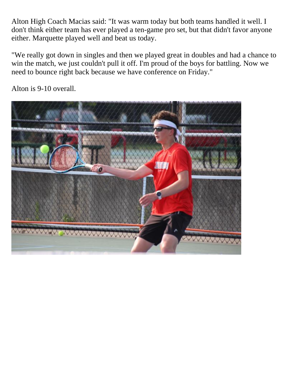Alton High Coach Macias said: "It was warm today but both teams handled it well. I don't think either team has ever played a ten-game pro set, but that didn't favor anyone either. Marquette played well and beat us today.

"We really got down in singles and then we played great in doubles and had a chance to win the match, we just couldn't pull it off. I'm proud of the boys for battling. Now we need to bounce right back because we have conference on Friday."

WWW WWW

Alton is 9-10 overall.